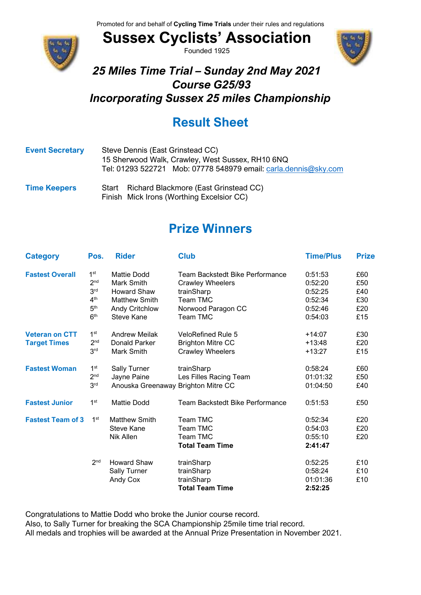

**Sussex Cyclists' Association** Founded 1925



#### *25 Miles Time Trial – Sunday 2nd May 2021 Course G25/93 Incorporating Sussex 25 miles Championship*

# **Result Sheet**

| <b>Event Secretary</b> | Steve Dennis (East Grinstead CC)<br>15 Sherwood Walk, Crawley, West Sussex, RH10 6NQ<br>Tel: 01293 522721 Mob: 07778 548979 email: carla.dennis@sky.com |  |  |  |  |
|------------------------|---------------------------------------------------------------------------------------------------------------------------------------------------------|--|--|--|--|
| <b>Time Keepers</b>    | Richard Blackmore (East Grinstead CC)<br>Start                                                                                                          |  |  |  |  |

Finish Mick Irons (Worthing Excelsior CC)

# **Prize Winners**

| <b>Category</b>          | Pos.            | <b>Rider</b>                        | <b>Club</b>                            | <b>Time/Plus</b> | <b>Prize</b> |
|--------------------------|-----------------|-------------------------------------|----------------------------------------|------------------|--------------|
| <b>Fastest Overall</b>   | 1 <sup>st</sup> | Mattie Dodd                         | <b>Team Backstedt Bike Performance</b> | 0:51:53          | £60          |
|                          | 2 <sub>nd</sub> | Mark Smith                          | <b>Crawley Wheelers</b>                | 0:52:20          | £50          |
|                          | 3 <sup>rd</sup> | <b>Howard Shaw</b>                  | trainSharp                             | 0:52:25          | £40          |
|                          | 4 <sup>th</sup> | <b>Matthew Smith</b>                | Team TMC                               | 0:52:34          | £30          |
|                          | 5 <sup>th</sup> | Andy Critchlow                      | Norwood Paragon CC                     | 0:52:46          | £20          |
|                          | 6 <sup>th</sup> | Steve Kane                          | Team TMC                               | 0:54:03          | £15          |
| <b>Veteran on CTT</b>    | 1 <sup>st</sup> | <b>Andrew Meilak</b>                | <b>VeloRefined Rule 5</b>              | $+14:07$         | £30          |
| <b>Target Times</b>      | 2 <sub>nd</sub> | Donald Parker                       | <b>Brighton Mitre CC</b>               | $+13:48$         | £20          |
|                          | 3 <sup>rd</sup> | Mark Smith                          | <b>Crawley Wheelers</b>                | $+13:27$         | £15          |
| <b>Fastest Woman</b>     | 1 <sup>st</sup> | <b>Sally Turner</b>                 | trainSharp                             | 0:58:24          | £60          |
|                          | 2 <sub>nd</sub> | Jayne Paine                         | Les Filles Racing Team                 | 01:01:32         | £50          |
|                          | 3 <sup>rd</sup> | Anouska Greenaway Brighton Mitre CC |                                        | 01:04:50         | £40          |
| <b>Fastest Junior</b>    | 1 <sup>st</sup> | <b>Mattie Dodd</b>                  | Team Backstedt Bike Performance        | 0:51:53          | £50          |
| <b>Fastest Team of 3</b> | 1 <sup>st</sup> | <b>Matthew Smith</b>                | Team TMC                               | 0:52:34          | £20          |
|                          |                 | Steve Kane                          | Team TMC                               | 0:54:03          | £20          |
|                          |                 | <b>Nik Allen</b>                    | Team TMC                               | 0:55:10          | £20          |
|                          |                 |                                     | <b>Total Team Time</b>                 | 2:41:47          |              |
|                          | 2 <sub>nd</sub> | <b>Howard Shaw</b>                  | trainSharp                             | 0:52:25          | £10          |
|                          |                 | <b>Sally Turner</b>                 | trainSharp                             | 0:58:24          | £10          |
|                          |                 | Andy Cox                            | trainSharp                             | 01:01:36         | £10          |
|                          |                 |                                     | <b>Total Team Time</b>                 | 2:52:25          |              |

Congratulations to Mattie Dodd who broke the Junior course record.

Also, to Sally Turner for breaking the SCA Championship 25mile time trial record.

All medals and trophies will be awarded at the Annual Prize Presentation in November 2021.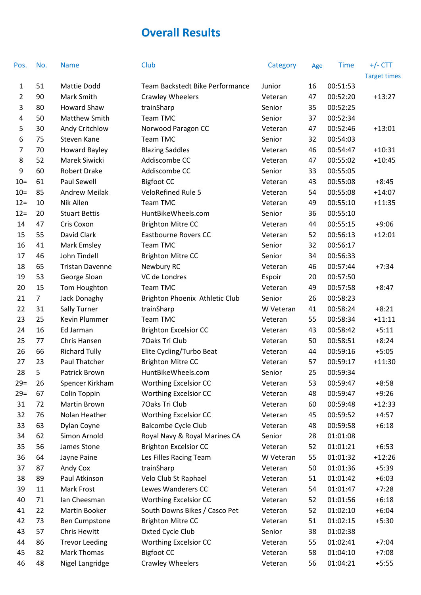## **Overall Results**

| Pos.           | No.            | <b>Name</b>            | Club                            | Category  | Age | <b>Time</b> | $+/-$ CTT           |
|----------------|----------------|------------------------|---------------------------------|-----------|-----|-------------|---------------------|
|                |                |                        |                                 |           |     |             | <b>Target times</b> |
| 1              | 51             | Mattie Dodd            | Team Backstedt Bike Performance | Junior    | 16  | 00:51:53    |                     |
| $\overline{2}$ | 90             | Mark Smith             | <b>Crawley Wheelers</b>         | Veteran   | 47  | 00:52:20    | $+13:27$            |
| 3              | 80             | <b>Howard Shaw</b>     | trainSharp                      | Senior    | 35  | 00:52:25    |                     |
| 4              | 50             | Matthew Smith          | Team TMC                        | Senior    | 37  | 00:52:34    |                     |
| 5              | 30             | Andy Critchlow         | Norwood Paragon CC              | Veteran   | 47  | 00:52:46    | $+13:01$            |
| 6              | 75             | Steven Kane            | Team TMC                        | Senior    | 32  | 00:54:03    |                     |
| 7              | 70             | <b>Howard Bayley</b>   | <b>Blazing Saddles</b>          | Veteran   | 46  | 00:54:47    | $+10:31$            |
| 8              | 52             | Marek Siwicki          | Addiscombe CC                   | Veteran   | 47  | 00:55:02    | $+10:45$            |
| 9              | 60             | <b>Robert Drake</b>    | Addiscombe CC                   | Senior    | 33  | 00:55:05    |                     |
| $10 =$         | 61             | <b>Paul Sewell</b>     | <b>Bigfoot CC</b>               | Veteran   | 43  | 00:55:08    | $+8:45$             |
| $10=$          | 85             | <b>Andrew Meilak</b>   | <b>VeloRefined Rule 5</b>       | Veteran   | 54  | 00:55:08    | $+14:07$            |
| $12 =$         | 10             | Nik Allen              | Team TMC                        | Veteran   | 49  | 00:55:10    | $+11:35$            |
| $12 =$         | 20             | <b>Stuart Bettis</b>   | HuntBikeWheels.com              | Senior    | 36  | 00:55:10    |                     |
| 14             | 47             | Cris Coxon             | <b>Brighton Mitre CC</b>        | Veteran   | 44  | 00:55:15    | $+9:06$             |
| 15             | 55             | David Clark            | <b>Eastbourne Rovers CC</b>     | Veteran   | 52  | 00:56:13    | $+12:01$            |
| 16             | 41             | Mark Emsley            | Team TMC                        | Senior    | 32  | 00:56:17    |                     |
| 17             | 46             | John Tindell           | <b>Brighton Mitre CC</b>        | Senior    | 34  | 00:56:33    |                     |
| 18             | 65             | <b>Tristan Davenne</b> | Newbury RC                      | Veteran   | 46  | 00:57:44    | $+7:34$             |
| 19             | 53             | George Sloan           | VC de Londres                   | Espoir    | 20  | 00:57:50    |                     |
| 20             | 15             | Tom Houghton           | Team TMC                        | Veteran   | 49  | 00:57:58    | $+8:47$             |
| 21             | $\overline{7}$ | Jack Donaghy           | Brighton Phoenix Athletic Club  | Senior    | 26  | 00:58:23    |                     |
| 22             | 31             | Sally Turner           | trainSharp                      | W Veteran | 41  | 00:58:24    | $+8:21$             |
| 23             | 25             | Kevin Plummer          | Team TMC                        | Veteran   | 55  | 00:58:34    | $+11:11$            |
| 24             | 16             | Ed Jarman              | <b>Brighton Excelsior CC</b>    | Veteran   | 43  | 00:58:42    | $+5:11$             |
| 25             | 77             | Chris Hansen           | 70aks Tri Club                  | Veteran   | 50  | 00:58:51    | $+8:24$             |
| 26             | 66             | <b>Richard Tully</b>   | Elite Cycling/Turbo Beat        | Veteran   | 44  | 00:59:16    | $+5:05$             |
| 27             | 23             | Paul Thatcher          | <b>Brighton Mitre CC</b>        | Veteran   | 57  | 00:59:17    | $+11:30$            |
| 28             | 5              | Patrick Brown          | HuntBikeWheels.com              | Senior    | 25  | 00:59:34    |                     |
| $29=$          | 26             | Spencer Kirkham        | <b>Worthing Excelsior CC</b>    | Veteran   | 53  | 00:59:47    | $+8:58$             |
| $29=$          | 67             | Colin Toppin           | <b>Worthing Excelsior CC</b>    | Veteran   | 48  | 00:59:47    | $+9:26$             |
| 31             | 72             | Martin Brown           | 70aks Tri Club                  | Veteran   | 60  | 00:59:48    | $+12:33$            |
| 32             | 76             | Nolan Heather          | <b>Worthing Excelsior CC</b>    | Veteran   | 45  | 00:59:52    | $+4:57$             |
| 33             | 63             | Dylan Coyne            | <b>Balcombe Cycle Club</b>      | Veteran   | 48  | 00:59:58    | $+6:18$             |
| 34             | 62             | Simon Arnold           | Royal Navy & Royal Marines CA   | Senior    | 28  | 01:01:08    |                     |
| 35             | 56             | James Stone            | <b>Brighton Excelsior CC</b>    | Veteran   | 52  | 01:01:21    | $+6:53$             |
| 36             | 64             | Jayne Paine            | Les Filles Racing Team          | W Veteran | 55  | 01:01:32    | $+12:26$            |
| 37             | 87             | Andy Cox               | trainSharp                      | Veteran   | 50  | 01:01:36    | $+5:39$             |
| 38             | 89             | Paul Atkinson          | Velo Club St Raphael            | Veteran   | 51  | 01:01:42    | $+6:03$             |
| 39             | 11             | Mark Frost             | Lewes Wanderers CC              | Veteran   | 54  | 01:01:47    | $+7:28$             |
| 40             | 71             | Ian Cheesman           | <b>Worthing Excelsior CC</b>    | Veteran   | 52  | 01:01:56    | $+6:18$             |
| 41             | 22             | Martin Booker          | South Downs Bikes / Casco Pet   | Veteran   | 52  | 01:02:10    | $+6:04$             |
| 42             | 73             | <b>Ben Cumpstone</b>   | <b>Brighton Mitre CC</b>        | Veteran   | 51  | 01:02:15    | $+5:30$             |
| 43             | 57             | Chris Hewitt           | Oxted Cycle Club                | Senior    | 38  | 01:02:38    |                     |
| 44             | 86             | <b>Trevor Leeding</b>  | <b>Worthing Excelsior CC</b>    | Veteran   | 55  | 01:02:41    | $+7:04$             |
| 45             | 82             | Mark Thomas            | <b>Bigfoot CC</b>               | Veteran   | 58  | 01:04:10    | $+7:08$             |
| 46             | 48             | Nigel Langridge        | Crawley Wheelers                | Veteran   | 56  | 01:04:21    | $+5:55$             |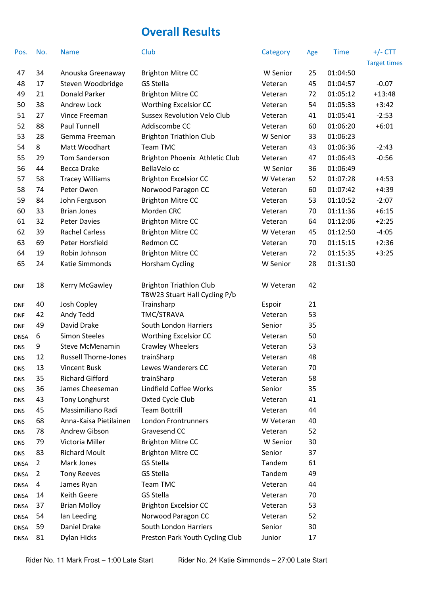### **Overall Results**

| Pos.        | No. | <b>Name</b>                 | Club                                                            | Category  | Age | <b>Time</b> | $+/-$ CTT           |
|-------------|-----|-----------------------------|-----------------------------------------------------------------|-----------|-----|-------------|---------------------|
|             |     |                             |                                                                 |           |     |             | <b>Target times</b> |
| 47          | 34  | Anouska Greenaway           | <b>Brighton Mitre CC</b>                                        | W Senior  | 25  | 01:04:50    |                     |
| 48          | 17  | Steven Woodbridge           | <b>GS Stella</b>                                                | Veteran   | 45  | 01:04:57    | $-0.07$             |
| 49          | 21  | <b>Donald Parker</b>        | <b>Brighton Mitre CC</b>                                        | Veteran   | 72  | 01:05:12    | $+13:48$            |
| 50          | 38  | Andrew Lock                 | <b>Worthing Excelsior CC</b>                                    | Veteran   | 54  | 01:05:33    | $+3:42$             |
| 51          | 27  | Vince Freeman               | <b>Sussex Revolution Velo Club</b>                              | Veteran   | 41  | 01:05:41    | $-2:53$             |
| 52          | 88  | Paul Tunnell                | Addiscombe CC                                                   | Veteran   | 60  | 01:06:20    | $+6:01$             |
| 53          | 28  | Gemma Freeman               | <b>Brighton Triathlon Club</b>                                  | W Senior  | 33  | 01:06:23    |                     |
| 54          | 8   | Matt Woodhart               | Team TMC                                                        | Veteran   | 43  | 01:06:36    | $-2:43$             |
| 55          | 29  | Tom Sanderson               | Brighton Phoenix Athletic Club                                  | Veteran   | 47  | 01:06:43    | $-0:56$             |
| 56          | 44  | <b>Becca Drake</b>          | BellaVelo cc                                                    | W Senior  | 36  | 01:06:49    |                     |
| 57          | 58  | <b>Tracey Williams</b>      | <b>Brighton Excelsior CC</b>                                    | W Veteran | 52  | 01:07:28    | $+4:53$             |
| 58          | 74  | Peter Owen                  | Norwood Paragon CC                                              | Veteran   | 60  | 01:07:42    | $+4:39$             |
| 59          | 84  | John Ferguson               | <b>Brighton Mitre CC</b>                                        | Veteran   | 53  | 01:10:52    | $-2:07$             |
| 60          | 33  | <b>Brian Jones</b>          | Morden CRC                                                      | Veteran   | 70  | 01:11:36    | $+6:15$             |
| 61          | 32  | <b>Peter Davies</b>         | <b>Brighton Mitre CC</b>                                        | Veteran   | 64  | 01:12:06    | $+2:25$             |
| 62          | 39  | <b>Rachel Carless</b>       | <b>Brighton Mitre CC</b>                                        | W Veteran | 45  | 01:12:50    | $-4:05$             |
| 63          | 69  | Peter Horsfield             | Redmon CC                                                       | Veteran   | 70  | 01:15:15    | $+2:36$             |
| 64          | 19  | Robin Johnson               | <b>Brighton Mitre CC</b>                                        | Veteran   | 72  | 01:15:35    | $+3:25$             |
| 65          | 24  | Katie Simmonds              | Horsham Cycling                                                 | W Senior  | 28  | 01:31:30    |                     |
| DNF         | 18  | Kerry McGawley              | <b>Brighton Triathlon Club</b><br>TBW23 Stuart Hall Cycling P/b | W Veteran | 42  |             |                     |
| DNF         | 40  | Josh Copley                 | Trainsharp                                                      | Espoir    | 21  |             |                     |
| DNF         | 42  | Andy Tedd                   | TMC/STRAVA                                                      | Veteran   | 53  |             |                     |
| DNF         | 49  | David Drake                 | South London Harriers                                           | Senior    | 35  |             |                     |
| <b>DNSA</b> | 6   | <b>Simon Steeles</b>        | <b>Worthing Excelsior CC</b>                                    | Veteran   | 50  |             |                     |
| DNS         | 9   | <b>Steve McMenamin</b>      | <b>Crawley Wheelers</b>                                         | Veteran   | 53  |             |                     |
| <b>DNS</b>  | 12  | <b>Russell Thorne-Jones</b> | trainSharp                                                      | Veteran   | 48  |             |                     |
| DNS         | 13  | <b>Vincent Busk</b>         | Lewes Wanderers CC                                              | Veteran   | 70  |             |                     |
| DNS         | 35  | <b>Richard Gifford</b>      | trainSharp                                                      | Veteran   | 58  |             |                     |
| DNS         | 36  | James Cheeseman             | Lindfield Coffee Works                                          | Senior    | 35  |             |                     |
| dns         | 43  | <b>Tony Longhurst</b>       | Oxted Cycle Club                                                | Veteran   | 41  |             |                     |
| dns         | 45  | Massimiliano Radi           | <b>Team Bottrill</b>                                            | Veteran   | 44  |             |                     |
| dns         | 68  | Anna-Kaisa Pietilainen      | London Frontrunners                                             | W Veteran | 40  |             |                     |
| DNS         | 78  | Andrew Gibson               | Gravesend CC                                                    | Veteran   | 52  |             |                     |
| dns         | 79  | Victoria Miller             | <b>Brighton Mitre CC</b>                                        | W Senior  | 30  |             |                     |
| DNS         | 83  | <b>Richard Moult</b>        | <b>Brighton Mitre CC</b>                                        | Senior    | 37  |             |                     |
| DNSA        | 2   | Mark Jones                  | GS Stella                                                       | Tandem    | 61  |             |                     |
| DNSA        | 2   | <b>Tony Reeves</b>          | GS Stella                                                       | Tandem    | 49  |             |                     |
| DNSA        | 4   | James Ryan                  | Team TMC                                                        | Veteran   | 44  |             |                     |
| DNSA        | 14  | Keith Geere                 | GS Stella                                                       | Veteran   | 70  |             |                     |
| <b>DNSA</b> | 37  | <b>Brian Molloy</b>         | <b>Brighton Excelsior CC</b>                                    | Veteran   | 53  |             |                     |
| DNSA        | 54  | Ian Leeding                 | Norwood Paragon CC                                              | Veteran   | 52  |             |                     |
| DNSA        | 59  | Daniel Drake                | South London Harriers                                           | Senior    | 30  |             |                     |
| <b>DNSA</b> | 81  | <b>Dylan Hicks</b>          | Preston Park Youth Cycling Club                                 | Junior    | 17  |             |                     |
|             |     |                             |                                                                 |           |     |             |                     |